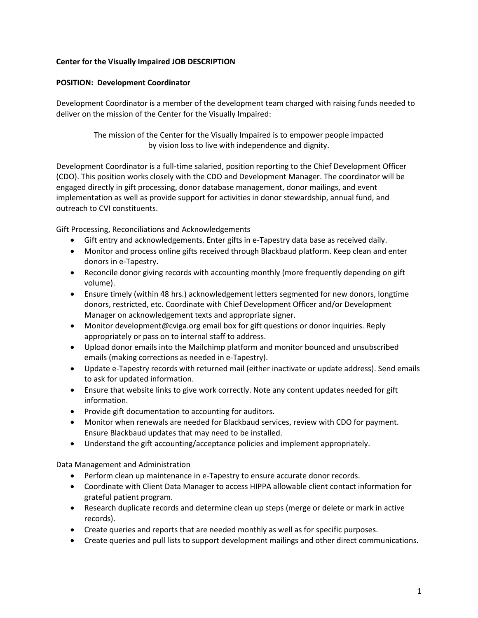# **Center for the Visually Impaired JOB DESCRIPTION**

## **POSITION: Development Coordinator**

Development Coordinator is a member of the development team charged with raising funds needed to deliver on the mission of the Center for the Visually Impaired:

> The mission of the Center for the Visually Impaired is to empower people impacted by vision loss to live with independence and dignity.

Development Coordinator is a full-time salaried, position reporting to the Chief Development Officer (CDO). This position works closely with the CDO and Development Manager. The coordinator will be engaged directly in gift processing, donor database management, donor mailings, and event implementation as well as provide support for activities in donor stewardship, annual fund, and outreach to CVI constituents.

Gift Processing, Reconciliations and Acknowledgements

- Gift entry and acknowledgements. Enter gifts in e-Tapestry data base as received daily.
- Monitor and process online gifts received through Blackbaud platform. Keep clean and enter donors in e-Tapestry.
- Reconcile donor giving records with accounting monthly (more frequently depending on gift volume).
- Ensure timely (within 48 hrs.) acknowledgement letters segmented for new donors, longtime donors, restricted, etc. Coordinate with Chief Development Officer and/or Development Manager on acknowledgement texts and appropriate signer.
- Monitor development@cviga.org email box for gift questions or donor inquiries. Reply appropriately or pass on to internal staff to address.
- Upload donor emails into the Mailchimp platform and monitor bounced and unsubscribed emails (making corrections as needed in e-Tapestry).
- Update e-Tapestry records with returned mail (either inactivate or update address). Send emails to ask for updated information.
- Ensure that website links to give work correctly. Note any content updates needed for gift information.
- Provide gift documentation to accounting for auditors.
- Monitor when renewals are needed for Blackbaud services, review with CDO for payment. Ensure Blackbaud updates that may need to be installed.
- Understand the gift accounting/acceptance policies and implement appropriately.

Data Management and Administration

- Perform clean up maintenance in e-Tapestry to ensure accurate donor records.
- Coordinate with Client Data Manager to access HIPPA allowable client contact information for grateful patient program.
- Research duplicate records and determine clean up steps (merge or delete or mark in active records).
- Create queries and reports that are needed monthly as well as for specific purposes.
- Create queries and pull lists to support development mailings and other direct communications.